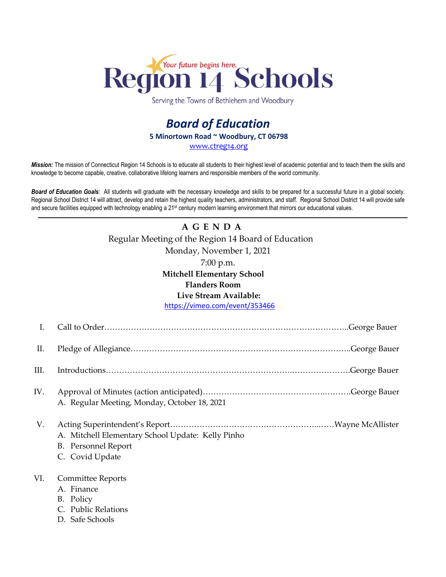

Serving the Towns of Bethlehem and Woodbury

## *Board of Education* **5 Minortown Road ~ Woodbury, CT 06798** [www.ctreg14.org](http://www.ctreg14.org/)

*Mission:* The mission of Connecticut Region 14 Schools is to educate all students to their highest level of academic potential and to teach them the skills and knowledge to become capable, creative, collaborative lifelong learners and responsible members of the world community.

*Board of Education Goals:* All students will graduate with the necessary knowledge and skills to be prepared for a successful future in a global society. Regional School District 14 will attract, develop and retain the highest quality teachers, administrators, and staff. Regional School District 14 will provide safe and secure facilities equipped with technology enabling a 21<sup>st</sup> century modern learning environment that mirrors our educational values.

# **A G E N D A** Regular Meeting of the Region 14 Board of Education Monday, November 1, 2021 7:00 p.m. **Mitchell Elementary School**

**Flanders Room**

#### **Live Stream Available:**

<https://vimeo.com/event/353466>

| I.   |                                                                                                    |
|------|----------------------------------------------------------------------------------------------------|
| Π.   |                                                                                                    |
| III. |                                                                                                    |
| IV.  | A. Regular Meeting, Monday, October 18, 2021                                                       |
| V.   | A. Mitchell Elementary School Update: Kelly Pinho<br><b>B.</b> Personnel Report<br>C. Covid Update |
| VI.  | <b>Committee Reports</b><br>A. Finance<br>B. Policy<br>C. Public Relations<br>D. Safe Schools      |